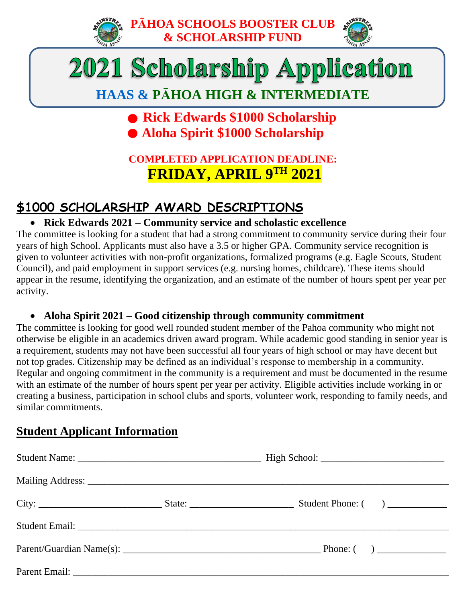



# 2021 Scholarship Application

# **HAAS & PĀHOA HIGH & INTERMEDIATE**

# **• Rick Edwards \$1000 Scholarship Aloha Spirit \$1000 Scholarship**

# **COMPLETED APPLICATION DEADLINE: FRIDAY, APRIL 9TH 2021**

# **\$1000 SCHOLARSHIP AWARD DESCRIPTIONS**

### • **Rick Edwards 2021 – Community service and scholastic excellence**

The committee is looking for a student that had a strong commitment to community service during their four years of high School. Applicants must also have a 3.5 or higher GPA. Community service recognition is given to volunteer activities with non-profit organizations, formalized programs (e.g. Eagle Scouts, Student Council), and paid employment in support services (e.g. nursing homes, childcare). These items should appear in the resume, identifying the organization, and an estimate of the number of hours spent per year per activity.

#### • **Aloha Spirit 2021 – Good citizenship through community commitment**

The committee is looking for good well rounded student member of the Pahoa community who might not otherwise be eligible in an academics driven award program. While academic good standing in senior year is a requirement, students may not have been successful all four years of high school or may have decent but not top grades. Citizenship may be defined as an individual's response to membership in a community. Regular and ongoing commitment in the community is a requirement and must be documented in the resume with an estimate of the number of hours spent per year per activity. Eligible activities include working in or creating a business, participation in school clubs and sports, volunteer work, responding to family needs, and similar commitments.

# **Student Applicant Information**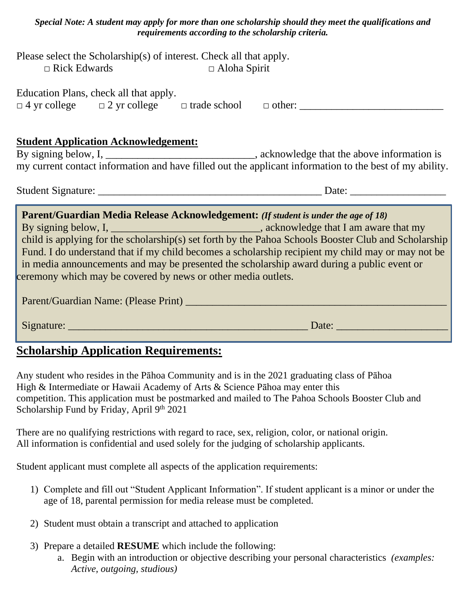| Special Note: A student may apply for more than one scholarship should they meet the qualifications and |  |  |  |  |
|---------------------------------------------------------------------------------------------------------|--|--|--|--|
| requirements according to the scholarship criteria.                                                     |  |  |  |  |
| $1_{\text{max}}$ , and actual $\Omega$ algebraic subset of interest. Objects all that conduct           |  |  |  |  |

|                     | Please select the Scholarship(s) of interest. Check all that apply. |
|---------------------|---------------------------------------------------------------------|
| $\Box$ Rick Edwards | $\Box$ Aloha Spirit                                                 |

Education Plans, check all that apply.

| $\Box$ 4 yr college | $\Box$ 2 yr college $\Box$ trade school $\Box$ other: |  |  |  |
|---------------------|-------------------------------------------------------|--|--|--|
|---------------------|-------------------------------------------------------|--|--|--|

#### **Student Application Acknowledgement:**

By signing below, I, \_\_\_\_\_\_\_\_\_\_\_\_\_\_\_\_\_\_\_\_\_\_\_\_\_\_\_\_\_, acknowledge that the above information is my current contact information and have filled out the applicant information to the best of my ability.

Student Signature: \_\_\_\_\_\_\_\_\_\_\_\_\_\_\_\_\_\_\_\_\_\_\_\_\_\_\_\_\_\_\_\_\_\_\_\_\_\_\_\_\_\_ Date: \_\_\_\_\_\_\_\_\_\_\_\_\_\_\_\_\_\_

# **Parent/Guardian Media Release Acknowledgement:** *(If student is under the age of 18)* By signing below, I, \_\_\_\_\_\_\_\_\_\_\_\_\_\_\_\_\_\_\_\_\_\_\_\_\_\_\_\_\_\_, acknowledge that I am aware that my child is applying for the scholarship(s) set forth by the Pahoa Schools Booster Club and Scholarship Fund. I do understand that if my child becomes a scholarship recipient my child may or may not be in media announcements and may be presented the scholarship award during a public event or ceremony which may be covered by news or other media outlets. Parent/Guardian Name: (Please Print) **Parent** Contract the Contract of the Contract of the Contract of the Contract of the Contract of the Contract of the Contract of the Contract of the Contract of the Contract of the Con Signature: \_\_\_\_\_\_\_\_\_\_\_\_\_\_\_\_\_\_\_\_\_\_\_\_\_\_\_\_\_\_\_\_\_\_\_\_\_\_\_\_\_\_\_\_\_ Date: \_\_\_\_\_\_\_\_\_\_\_\_\_\_\_\_\_\_\_\_\_

## **Scholarship Application Requirements:**

Any student who resides in the Pāhoa Community and is in the 2021 graduating class of Pāhoa High & Intermediate or Hawaii Academy of Arts & Science Pāhoa may enter this competition. This application must be postmarked and mailed to The Pahoa Schools Booster Club and Scholarship Fund by Friday, April 9th 2021

There are no qualifying restrictions with regard to race, sex, religion, color, or national origin. All information is confidential and used solely for the judging of scholarship applicants.

Student applicant must complete all aspects of the application requirements:

- 1) Complete and fill out "Student Applicant Information". If student applicant is a minor or under the age of 18, parental permission for media release must be completed.
- 2) Student must obtain a transcript and attached to application
- 3) Prepare a detailed **RESUME** which include the following:
	- a. Begin with an introduction or objective describing your personal characteristics *(examples: Active, outgoing, studious)*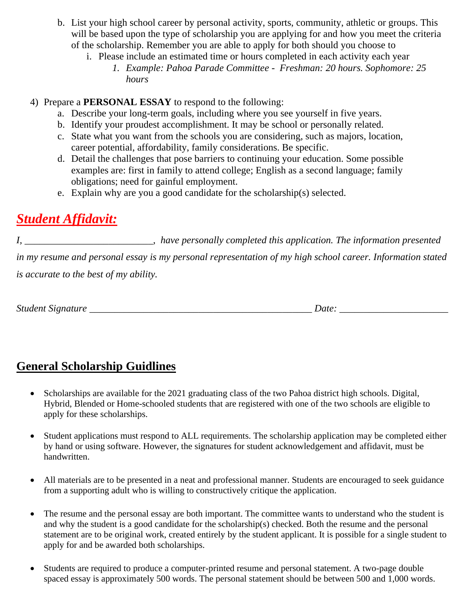- b. List your high school career by personal activity, sports, community, athletic or groups. This will be based upon the type of scholarship you are applying for and how you meet the criteria of the scholarship. Remember you are able to apply for both should you choose to
	- i. Please include an estimated time or hours completed in each activity each year
		- *1. Example: Pahoa Parade Committee Freshman: 20 hours. Sophomore: 25 hours*
- 4) Prepare a **PERSONAL ESSAY** to respond to the following:
	- a. Describe your long-term goals, including where you see yourself in five years.
	- b. Identify your proudest accomplishment. It may be school or personally related.
	- c. State what you want from the schools you are considering, such as majors, location, career potential, affordability, family considerations. Be specific.
	- d. Detail the challenges that pose barriers to continuing your education. Some possible examples are: first in family to attend college; English as a second language; family obligations; need for gainful employment.
	- e. Explain why are you a good candidate for the scholarship(s) selected.

# *Student Affidavit:*

*I, \_\_\_\_\_\_\_\_\_\_\_\_\_\_\_\_\_\_\_\_\_\_\_\_\_\_, have personally completed this application. The information presented in my resume and personal essay is my personal representation of my high school career. Information stated is accurate to the best of my ability.*

*Student Signature*  $\Box$ 

# **General Scholarship Guidlines**

- Scholarships are available for the 2021 graduating class of the two Pahoa district high schools. Digital, Hybrid, Blended or Home-schooled students that are registered with one of the two schools are eligible to apply for these scholarships.
- Student applications must respond to ALL requirements. The scholarship application may be completed either by hand or using software. However, the signatures for student acknowledgement and affidavit, must be handwritten.
- All materials are to be presented in a neat and professional manner. Students are encouraged to seek guidance from a supporting adult who is willing to constructively critique the application.
- The resume and the personal essay are both important. The committee wants to understand who the student is and why the student is a good candidate for the scholarship(s) checked. Both the resume and the personal statement are to be original work, created entirely by the student applicant. It is possible for a single student to apply for and be awarded both scholarships.
- Students are required to produce a computer-printed resume and personal statement. A two-page double spaced essay is approximately 500 words. The personal statement should be between 500 and 1,000 words.